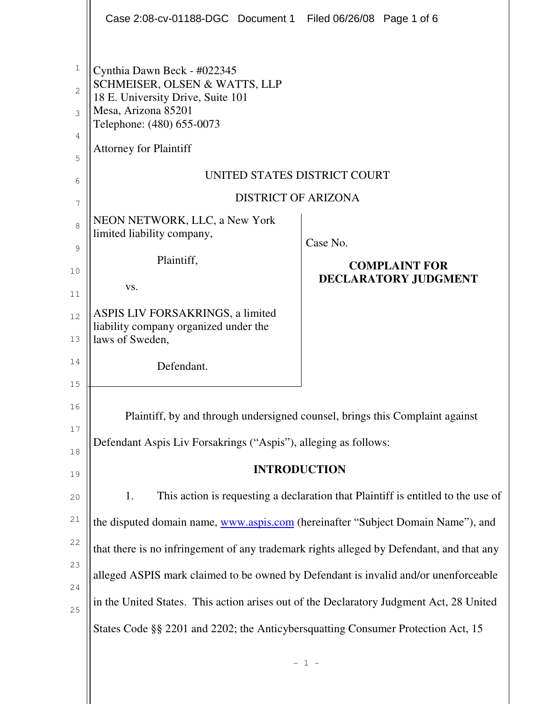|                            | Case 2:08-cv-01188-DGC Document 1 Filed 06/26/08 Page 1 of 6                                                                                                                                                           |                                                          |  |  |
|----------------------------|------------------------------------------------------------------------------------------------------------------------------------------------------------------------------------------------------------------------|----------------------------------------------------------|--|--|
| 1<br>2<br>3<br>4<br>5<br>6 | Cynthia Dawn Beck - #022345<br>SCHMEISER, OLSEN & WATTS, LLP<br>18 E. University Drive, Suite 101<br>Mesa, Arizona 85201<br>Telephone: (480) 655-0073<br><b>Attorney for Plaintiff</b><br>UNITED STATES DISTRICT COURT |                                                          |  |  |
| 7                          | <b>DISTRICT OF ARIZONA</b>                                                                                                                                                                                             |                                                          |  |  |
| 8<br>9<br>10               | NEON NETWORK, LLC, a New York<br>limited liability company,<br>Plaintiff,<br>VS.                                                                                                                                       | Case No.<br><b>COMPLAINT FOR</b><br>DECLARATORY JUDGMENT |  |  |
| 11<br>12<br>13<br>14       | ASPIS LIV FORSAKRINGS, a limited<br>liability company organized under the<br>laws of Sweden,                                                                                                                           |                                                          |  |  |
| 15                         | Defendant.                                                                                                                                                                                                             |                                                          |  |  |
| 16<br>17<br>18             | Plaintiff, by and through undersigned counsel, brings this Complaint against<br>Defendant Aspis Liv Forsakrings ("Aspis"), alleging as follows:                                                                        |                                                          |  |  |
| 19                         | <b>INTRODUCTION</b>                                                                                                                                                                                                    |                                                          |  |  |
| 20                         | 1.<br>This action is requesting a declaration that Plaintiff is entitled to the use of                                                                                                                                 |                                                          |  |  |
| 21                         | the disputed domain name, www.aspis.com (hereinafter "Subject Domain Name"), and                                                                                                                                       |                                                          |  |  |
| 22                         | that there is no infringement of any trademark rights alleged by Defendant, and that any                                                                                                                               |                                                          |  |  |
| 23<br>24                   | alleged ASPIS mark claimed to be owned by Defendant is invalid and/or unenforceable                                                                                                                                    |                                                          |  |  |
| 25                         | in the United States. This action arises out of the Declaratory Judgment Act, 28 United                                                                                                                                |                                                          |  |  |
|                            | States Code §§ 2201 and 2202; the Anticybersquatting Consumer Protection Act, 15                                                                                                                                       |                                                          |  |  |
|                            |                                                                                                                                                                                                                        | $-1 -$                                                   |  |  |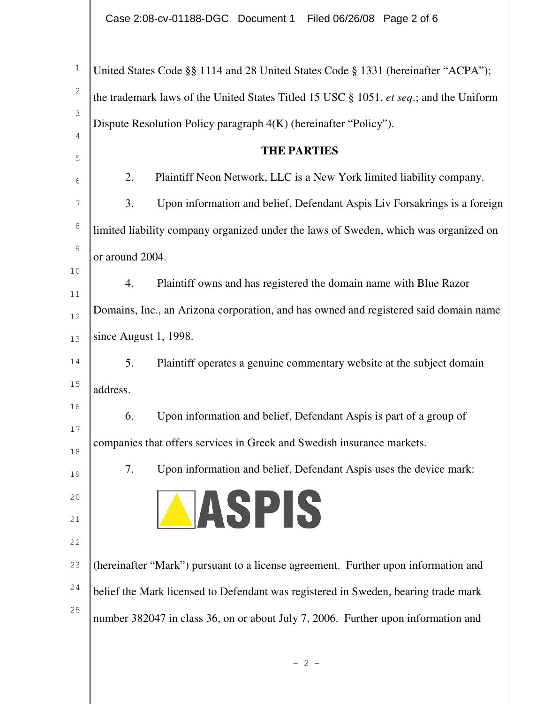| United States Code §§ 1114 and 28 United States Code § 1331 (hereinafter "ACPA");      |  |  |
|----------------------------------------------------------------------------------------|--|--|
| the trademark laws of the United States Titled 15 USC § 1051, et seq.; and the Uniform |  |  |
| Dispute Resolution Policy paragraph 4(K) (hereinafter "Policy").                       |  |  |
| <b>THE PARTIES</b>                                                                     |  |  |
| 2.<br>Plaintiff Neon Network, LLC is a New York limited liability company.             |  |  |
|                                                                                        |  |  |
| 3.<br>Upon information and belief, Defendant Aspis Liv Forsakrings is a foreign        |  |  |
| limited liability company organized under the laws of Sweden, which was organized on   |  |  |
| or around 2004.                                                                        |  |  |
| Plaintiff owns and has registered the domain name with Blue Razor<br>4.                |  |  |
| Domains, Inc., an Arizona corporation, and has owned and registered said domain name   |  |  |
| since August 1, 1998.                                                                  |  |  |
| Plaintiff operates a genuine commentary website at the subject domain<br>5.            |  |  |
| address.                                                                               |  |  |
| Upon information and belief, Defendant Aspis is part of a group of<br>6.               |  |  |
| companies that offers services in Greek and Swedish insurance markets.                 |  |  |
| Upon information and belief, Defendant Aspis uses the device mark:<br>7.               |  |  |
|                                                                                        |  |  |
| JASPIS                                                                                 |  |  |
|                                                                                        |  |  |
| (hereinafter "Mark") pursuant to a license agreement. Further upon information and     |  |  |
| belief the Mark licensed to Defendant was registered in Sweden, bearing trade mark     |  |  |
| number 382047 in class 36, on or about July 7, 2006. Further upon information and      |  |  |
|                                                                                        |  |  |
| $-2-$                                                                                  |  |  |
|                                                                                        |  |  |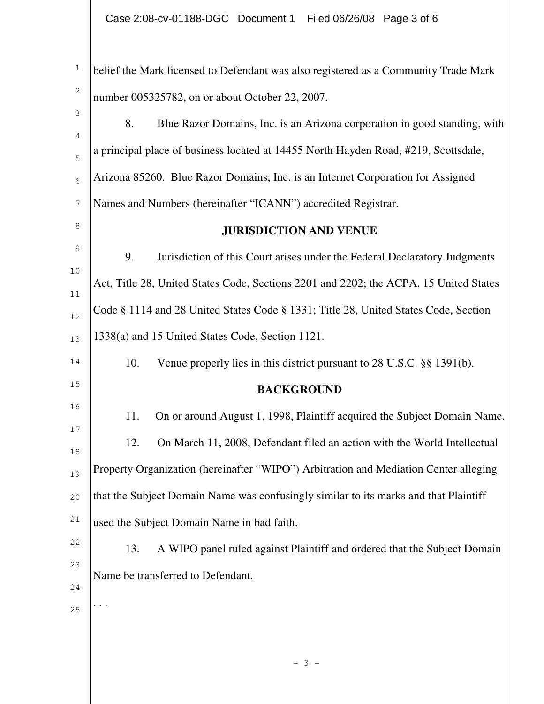| $\mathbf{1}$     | belief the Mark licensed to Defendant was also registered as a Community Trade Mark   |  |  |  |
|------------------|---------------------------------------------------------------------------------------|--|--|--|
| $\mathbf{2}$     | number 005325782, on or about October 22, 2007.                                       |  |  |  |
| 3                | 8.<br>Blue Razor Domains, Inc. is an Arizona corporation in good standing, with       |  |  |  |
| 4                | a principal place of business located at 14455 North Hayden Road, #219, Scottsdale,   |  |  |  |
| 5<br>6           | Arizona 85260. Blue Razor Domains, Inc. is an Internet Corporation for Assigned       |  |  |  |
| $\boldsymbol{7}$ | Names and Numbers (hereinafter "ICANN") accredited Registrar.                         |  |  |  |
| 8                |                                                                                       |  |  |  |
|                  | <b>JURISDICTION AND VENUE</b>                                                         |  |  |  |
| 9                | 9.<br>Jurisdiction of this Court arises under the Federal Declaratory Judgments       |  |  |  |
| 10<br>11         | Act, Title 28, United States Code, Sections 2201 and 2202; the ACPA, 15 United States |  |  |  |
| 12               | Code § 1114 and 28 United States Code § 1331; Title 28, United States Code, Section   |  |  |  |
| 13               | 1338(a) and 15 United States Code, Section 1121.                                      |  |  |  |
| 14               | 10.<br>Venue properly lies in this district pursuant to 28 U.S.C. §§ 1391(b).         |  |  |  |
| 15               | <b>BACKGROUND</b>                                                                     |  |  |  |
| 16               | 11.<br>On or around August 1, 1998, Plaintiff acquired the Subject Domain Name.       |  |  |  |
| 17<br>18         | 12.<br>On March 11, 2008, Defendant filed an action with the World Intellectual       |  |  |  |
| 19               | Property Organization (hereinafter "WIPO") Arbitration and Mediation Center alleging  |  |  |  |
| 20               | that the Subject Domain Name was confusingly similar to its marks and that Plaintiff  |  |  |  |
| 21               | used the Subject Domain Name in bad faith.                                            |  |  |  |
| 22               | A WIPO panel ruled against Plaintiff and ordered that the Subject Domain<br>13.       |  |  |  |
| 23               |                                                                                       |  |  |  |
| 24               | Name be transferred to Defendant.                                                     |  |  |  |
| 25               |                                                                                       |  |  |  |
|                  |                                                                                       |  |  |  |
|                  |                                                                                       |  |  |  |
|                  |                                                                                       |  |  |  |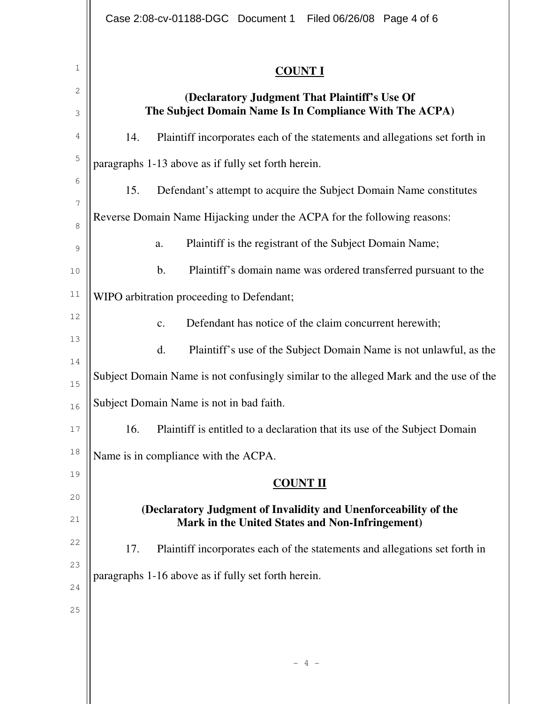| L<br>v. |  |
|---------|--|
|         |  |

| $\mathbf 1$   | <b>COUNT I</b>                                                                                           |  |  |
|---------------|----------------------------------------------------------------------------------------------------------|--|--|
| 2<br>3        | (Declaratory Judgment That Plaintiff's Use Of<br>The Subject Domain Name Is In Compliance With The ACPA) |  |  |
| 4             | 14.<br>Plaintiff incorporates each of the statements and allegations set forth in                        |  |  |
| 5             | paragraphs 1-13 above as if fully set forth herein.                                                      |  |  |
| 6             | 15.<br>Defendant's attempt to acquire the Subject Domain Name constitutes                                |  |  |
| 7<br>8        | Reverse Domain Name Hijacking under the ACPA for the following reasons:                                  |  |  |
| $\mathcal{G}$ | Plaintiff is the registrant of the Subject Domain Name;<br>a.                                            |  |  |
| 10            | b.<br>Plaintiff's domain name was ordered transferred pursuant to the                                    |  |  |
| 11            | WIPO arbitration proceeding to Defendant;                                                                |  |  |
| 12            | Defendant has notice of the claim concurrent herewith;<br>$\mathbf{c}$ .                                 |  |  |
| 13            | d.<br>Plaintiff's use of the Subject Domain Name is not unlawful, as the                                 |  |  |
| 14<br>15      | Subject Domain Name is not confusingly similar to the alleged Mark and the use of the                    |  |  |
| 16            | Subject Domain Name is not in bad faith.                                                                 |  |  |
| 17            | 16.<br>Plaintiff is entitled to a declaration that its use of the Subject Domain                         |  |  |
| 18            | Name is in compliance with the ACPA.                                                                     |  |  |
| 19            | <b>COUNT II</b>                                                                                          |  |  |
| 20            | (Declaratory Judgment of Invalidity and Unenforceability of the                                          |  |  |
| 21            | Mark in the United States and Non-Infringement)                                                          |  |  |
| 22            | Plaintiff incorporates each of the statements and allegations set forth in<br>17.                        |  |  |
| 23<br>24      | paragraphs 1-16 above as if fully set forth herein.                                                      |  |  |
| 25            |                                                                                                          |  |  |
|               |                                                                                                          |  |  |
|               |                                                                                                          |  |  |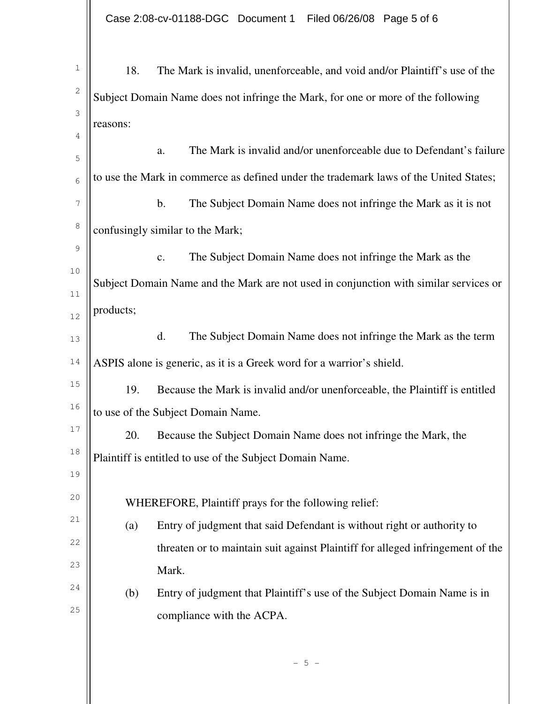| $\mathbf 1$ | 18.                                                                                   | The Mark is invalid, unenforceable, and void and/or Plaintiff's use of the            |  |  |  |
|-------------|---------------------------------------------------------------------------------------|---------------------------------------------------------------------------------------|--|--|--|
| 2           | Subject Domain Name does not infringe the Mark, for one or more of the following      |                                                                                       |  |  |  |
| 3           | reasons:                                                                              |                                                                                       |  |  |  |
| 4           |                                                                                       |                                                                                       |  |  |  |
| 5           |                                                                                       | The Mark is invalid and/or unenforceable due to Defendant's failure<br>a.             |  |  |  |
| 6           | to use the Mark in commerce as defined under the trademark laws of the United States; |                                                                                       |  |  |  |
| 7           |                                                                                       | b.<br>The Subject Domain Name does not infringe the Mark as it is not                 |  |  |  |
| $\,8\,$     | confusingly similar to the Mark;                                                      |                                                                                       |  |  |  |
| $\mathsf 9$ |                                                                                       | The Subject Domain Name does not infringe the Mark as the<br>c.                       |  |  |  |
| 10          |                                                                                       | Subject Domain Name and the Mark are not used in conjunction with similar services or |  |  |  |
| 11          |                                                                                       |                                                                                       |  |  |  |
| 12          | products;                                                                             |                                                                                       |  |  |  |
| 13          |                                                                                       | The Subject Domain Name does not infringe the Mark as the term<br>d.                  |  |  |  |
| 14          | ASPIS alone is generic, as it is a Greek word for a warrior's shield.                 |                                                                                       |  |  |  |
| 15          | 19.                                                                                   | Because the Mark is invalid and/or unenforceable, the Plaintiff is entitled           |  |  |  |
| 16          |                                                                                       | to use of the Subject Domain Name.                                                    |  |  |  |
| 17          | 20.                                                                                   | Because the Subject Domain Name does not infringe the Mark, the                       |  |  |  |
| 18          | Plaintiff is entitled to use of the Subject Domain Name.                              |                                                                                       |  |  |  |
| 19          |                                                                                       |                                                                                       |  |  |  |
| 20          | WHEREFORE, Plaintiff prays for the following relief:                                  |                                                                                       |  |  |  |
| 21          | (a)                                                                                   | Entry of judgment that said Defendant is without right or authority to                |  |  |  |
| 22          |                                                                                       | threaten or to maintain suit against Plaintiff for alleged infringement of the        |  |  |  |
| 23          |                                                                                       | Mark.                                                                                 |  |  |  |
| 24          | (b)                                                                                   | Entry of judgment that Plaintiff's use of the Subject Domain Name is in               |  |  |  |
| 25          |                                                                                       | compliance with the ACPA.                                                             |  |  |  |
|             |                                                                                       |                                                                                       |  |  |  |